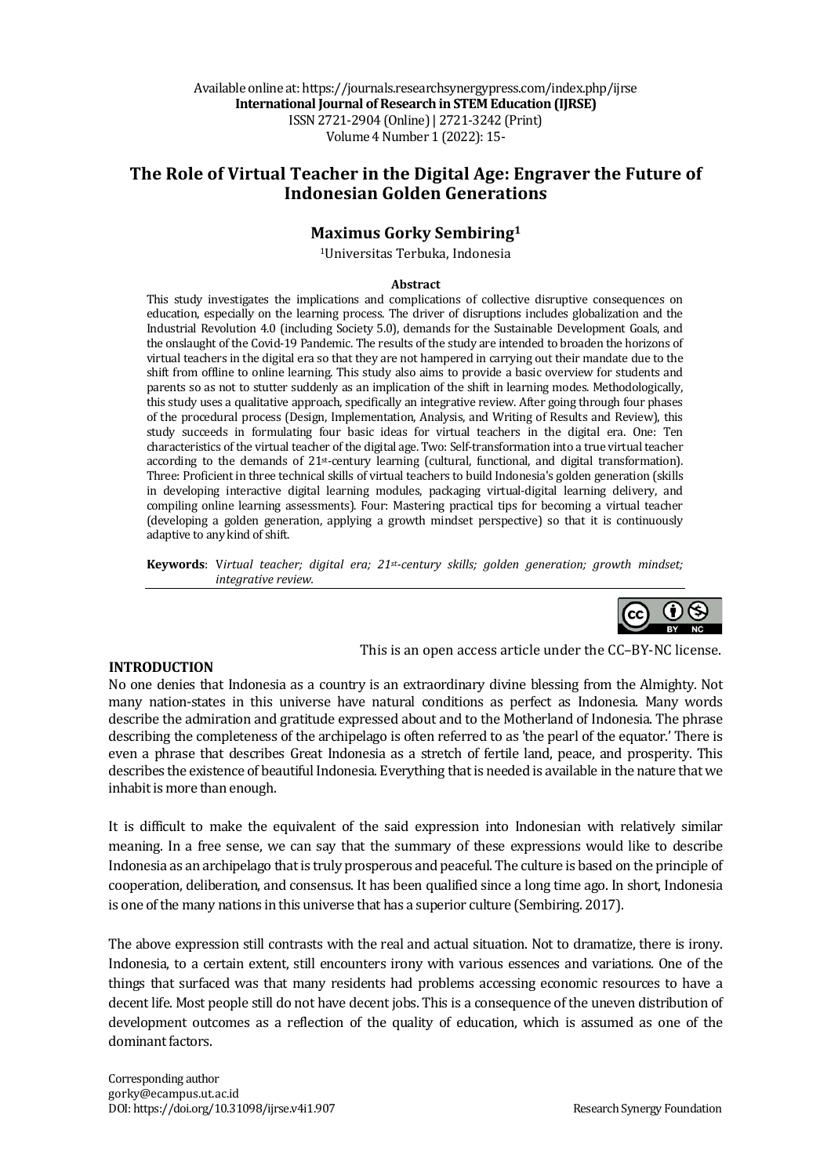Available online at: https://journals.researchsynergypress.com/index.php/ijrse **International Journal of Research in STEM Education (IJRSE)** ISSN 2721-2904 (Online)| 2721-3242 (Print) Volume 4 Number 1 (2022): 15-

# The Role of Virtual Teacher in the Digital Age: Engraver the Future of **Indonesian Golden Generations**

## **Maximus Gorky Sembiring1**

1Universitas Terbuka, Indonesia

#### **Abstract**

This study investigates the implications and complications of collective disruptive consequences on education, especially on the learning process. The driver of disruptions includes globalization and the Industrial Revolution 4.0 (including Society 5.0), demands for the Sustainable Development Goals, and the onslaught of the Covid-19 Pandemic. The results of the study are intended to broaden the horizons of virtual teachers in the digital era so that they are not hampered in carrying out their mandate due to the shift from offline to online learning. This study also aims to provide a basic overview for students and parents so as not to stutter suddenly as an implication of the shift in learning modes. Methodologically, this study uses a qualitative approach, specifically an integrative review. After going through four phases of the procedural process (Design, Implementation, Analysis, and Writing of Results and Review), this study succeeds in formulating four basic ideas for virtual teachers in the digital era. One: Ten characteristics of the virtual teacher of the digital age. Two: Self-transformation into a true virtual teacher according to the demands of 21<sup>st-</sup>century learning (cultural, functional, and digital transformation). Three: Proficient in three technical skills of virtual teachers to build Indonesia's golden generation (skills in developing interactive digital learning modules, packaging virtual-digital learning delivery, and compiling online learning assessments). Four: Mastering practical tips for becoming a virtual teacher (developing a golden generation, applying a growth mindset perspective) so that it is continuously adaptive to any kind of shift.

**Keywords**: Virtual teacher; digital era; 21st-century skills; golden generation; growth mindset; *integrative review.*



#### **INTRODUCTION**

This is an open access article under the CC–BY-NC license.

No one denies that Indonesia as a country is an extraordinary divine blessing from the Almighty. Not many nation-states in this universe have natural conditions as perfect as Indonesia. Many words describe the admiration and gratitude expressed about and to the Motherland of Indonesia. The phrase describing the completeness of the archipelago is often referred to as 'the pearl of the equator.' There is even a phrase that describes Great Indonesia as a stretch of fertile land, peace, and prosperity. This describes the existence of beautiful Indonesia. Everything that is needed is available in the nature that we inhabit is more than enough.

It is difficult to make the equivalent of the said expression into Indonesian with relatively similar meaning. In a free sense, we can say that the summary of these expressions would like to describe Indonesia as an archipelago that is truly prosperous and peaceful. The culture is based on the principle of cooperation, deliberation, and consensus. It has been qualified since a long time ago. In short, Indonesia is one of the many nations in this universe that has a superior culture (Sembiring. 2017).

The above expression still contrasts with the real and actual situation. Not to dramatize, there is irony. Indonesia, to a certain extent, still encounters irony with various essences and variations. One of the things that surfaced was that many residents had problems accessing economic resources to have a decent life. Most people still do not have decent jobs. This is a consequence of the uneven distribution of development outcomes as a reflection of the quality of education, which is assumed as one of the dominant factors.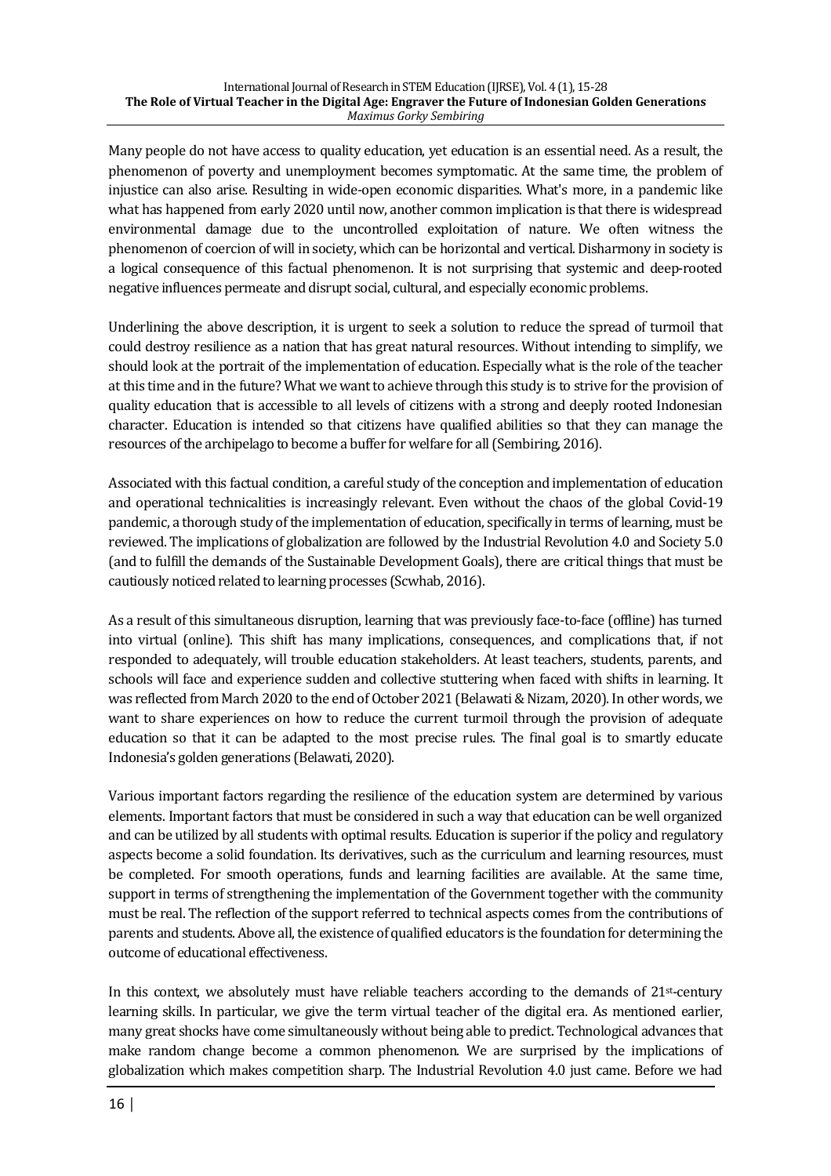Many people do not have access to quality education, yet education is an essential need. As a result, the phenomenon of poverty and unemployment becomes symptomatic. At the same time, the problem of injustice can also arise. Resulting in wide-open economic disparities. What's more, in a pandemic like what has happened from early 2020 until now, another common implication is that there is widespread environmental damage due to the uncontrolled exploitation of nature. We often witness the phenomenon of coercion of will in society, which can be horizontal and vertical. Disharmony in society is a logical consequence of this factual phenomenon. It is not surprising that systemic and deep-rooted negative influences permeate and disrupt social, cultural, and especially economic problems.

Underlining the above description, it is urgent to seek a solution to reduce the spread of turmoil that could destroy resilience as a nation that has great natural resources. Without intending to simplify, we should look at the portrait of the implementation of education. Especially what is the role of the teacher at this time and in the future? What we want to achieve through this study is to strive for the provision of quality education that is accessible to all levels of citizens with a strong and deeply rooted Indonesian character. Education is intended so that citizens have qualified abilities so that they can manage the resources of the archipelago to become a buffer for welfare for all (Sembiring, 2016).

Associated with this factual condition, a careful study of the conception and implementation of education and operational technicalities is increasingly relevant. Even without the chaos of the global Covid-19 pandemic, a thorough study of the implementation of education, specifically in terms of learning, must be reviewed. The implications of globalization are followed by the Industrial Revolution 4.0 and Society 5.0 (and to fulfill the demands of the Sustainable Development Goals), there are critical things that must be cautiously noticed related to learning processes (Scwhab, 2016).

As a result of this simultaneous disruption, learning that was previously face-to-face (offline) has turned into virtual (online). This shift has many implications, consequences, and complications that, if not responded to adequately, will trouble education stakeholders. At least teachers, students, parents, and schools will face and experience sudden and collective stuttering when faced with shifts in learning. It was reflected from March 2020 to the end of October 2021 (Belawati & Nizam, 2020). In other words, we want to share experiences on how to reduce the current turmoil through the provision of adequate education so that it can be adapted to the most precise rules. The final goal is to smartly educate Indonesia's golden generations (Belawati, 2020).

Various important factors regarding the resilience of the education system are determined by various elements. Important factors that must be considered in such a way that education can be well organized and can be utilized by all students with optimal results. Education is superior if the policy and regulatory aspects become a solid foundation. Its derivatives, such as the curriculum and learning resources, must be completed. For smooth operations, funds and learning facilities are available. At the same time, support in terms of strengthening the implementation of the Government together with the community must be real. The reflection of the support referred to technical aspects comes from the contributions of parents and students. Above all, the existence of qualified educators is the foundation for determining the outcome of educational effectiveness.

In this context, we absolutely must have reliable teachers according to the demands of  $21$ <sup>st-century</sup> learning skills. In particular, we give the term virtual teacher of the digital era. As mentioned earlier, many great shocks have come simultaneously without being able to predict. Technological advances that make random change become a common phenomenon. We are surprised by the implications of globalization which makes competition sharp. The Industrial Revolution 4.0 just came. Before we had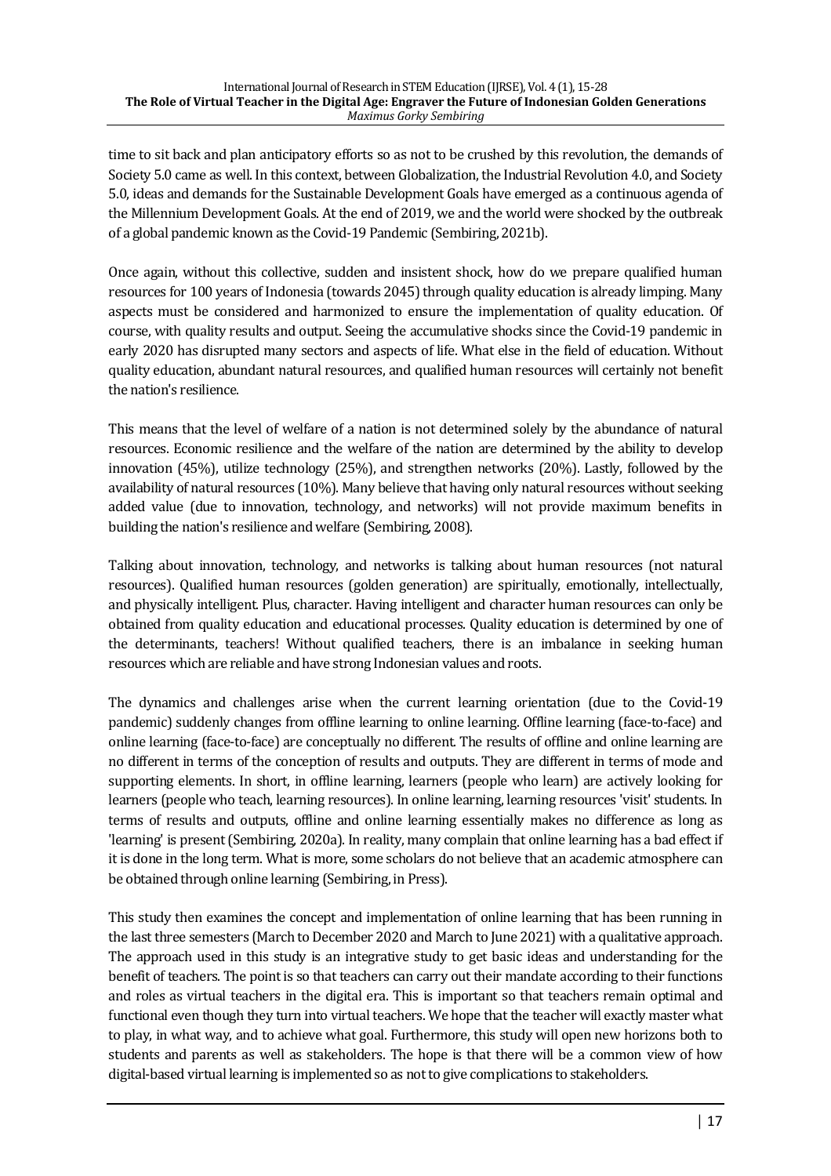time to sit back and plan anticipatory efforts so as not to be crushed by this revolution, the demands of Society 5.0 came as well. In this context, between Globalization, the Industrial Revolution 4.0, and Society 5.0, ideas and demands for the Sustainable Development Goals have emerged as a continuous agenda of the Millennium Development Goals. At the end of 2019, we and the world were shocked by the outbreak of a global pandemic known as the Covid-19 Pandemic (Sembiring, 2021b).

Once again, without this collective, sudden and insistent shock, how do we prepare qualified human resources for 100 years of Indonesia (towards 2045) through quality education is already limping. Many aspects must be considered and harmonized to ensure the implementation of quality education. Of course, with quality results and output. Seeing the accumulative shocks since the Covid-19 pandemic in early 2020 has disrupted many sectors and aspects of life. What else in the field of education. Without quality education, abundant natural resources, and qualified human resources will certainly not benefit the nation's resilience.

This means that the level of welfare of a nation is not determined solely by the abundance of natural resources. Economic resilience and the welfare of the nation are determined by the ability to develop innovation  $(45%)$ , utilize technology  $(25%)$ , and strengthen networks  $(20%)$ . Lastly, followed by the availability of natural resources (10%). Many believe that having only natural resources without seeking added value (due to innovation, technology, and networks) will not provide maximum benefits in building the nation's resilience and welfare (Sembiring, 2008).

Talking about innovation, technology, and networks is talking about human resources (not natural resources). Qualified human resources (golden generation) are spiritually, emotionally, intellectually, and physically intelligent. Plus, character. Having intelligent and character human resources can only be obtained from quality education and educational processes. Quality education is determined by one of the determinants, teachers! Without qualified teachers, there is an imbalance in seeking human resources which are reliable and have strong Indonesian values and roots.

The dynamics and challenges arise when the current learning orientation (due to the Covid-19 pandemic) suddenly changes from offline learning to online learning. Offline learning (face-to-face) and online learning (face-to-face) are conceptually no different. The results of offline and online learning are no different in terms of the conception of results and outputs. They are different in terms of mode and supporting elements. In short, in offline learning, learners (people who learn) are actively looking for learners (people who teach, learning resources). In online learning, learning resources 'visit' students. In terms of results and outputs, offline and online learning essentially makes no difference as long as 'learning' is present (Sembiring, 2020a). In reality, many complain that online learning has a bad effect if it is done in the long term. What is more, some scholars do not believe that an academic atmosphere can be obtained through online learning (Sembiring, in Press).

This study then examines the concept and implementation of online learning that has been running in the last three semesters (March to December 2020 and March to June 2021) with a qualitative approach. The approach used in this study is an integrative study to get basic ideas and understanding for the benefit of teachers. The point is so that teachers can carry out their mandate according to their functions and roles as virtual teachers in the digital era. This is important so that teachers remain optimal and functional even though they turn into virtual teachers. We hope that the teacher will exactly master what to play, in what way, and to achieve what goal. Furthermore, this study will open new horizons both to students and parents as well as stakeholders. The hope is that there will be a common view of how digital-based virtual learning is implemented so as not to give complications to stakeholders.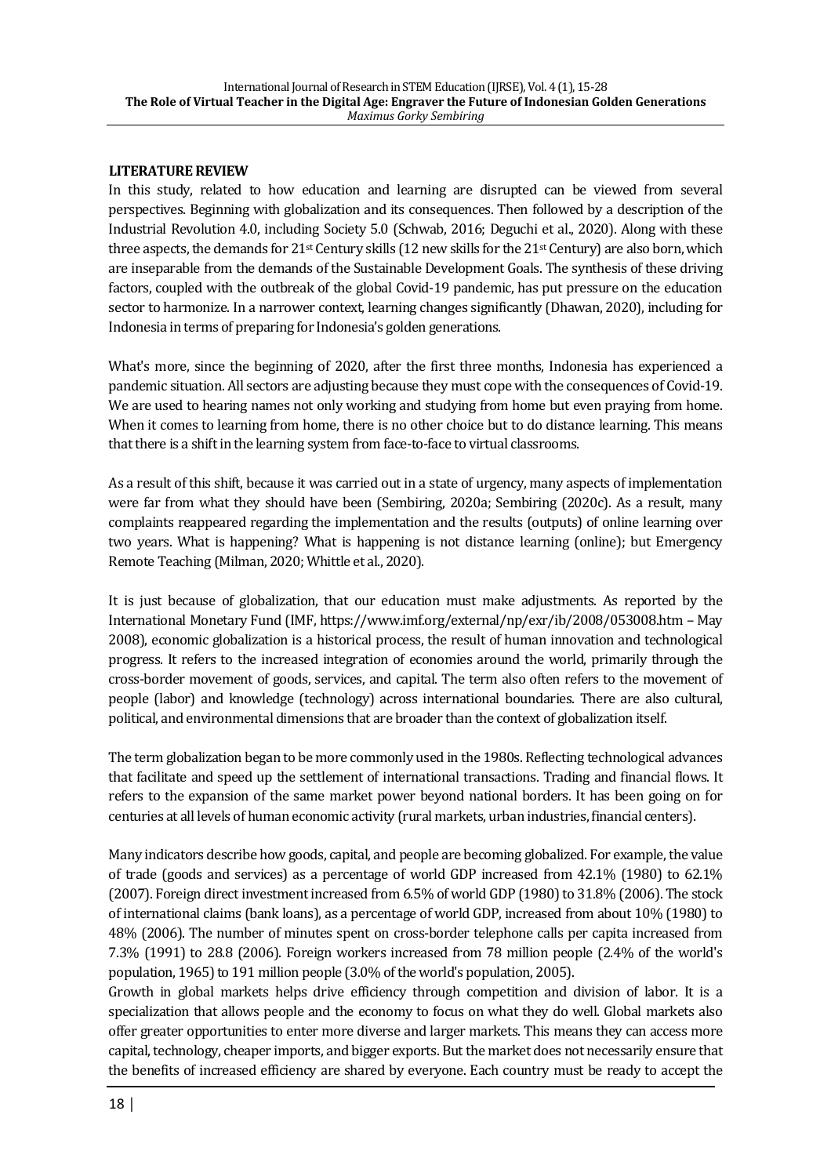#### **LITERATURE REVIEW**

In this study, related to how education and learning are disrupted can be viewed from several perspectives. Beginning with globalization and its consequences. Then followed by a description of the Industrial Revolution 4.0, including Society 5.0 (Schwab, 2016; Deguchi et al., 2020). Along with these three aspects, the demands for  $21^{st}$  Century skills (12 new skills for the  $21^{st}$  Century) are also born, which are inseparable from the demands of the Sustainable Development Goals. The synthesis of these driving factors, coupled with the outbreak of the global Covid-19 pandemic, has put pressure on the education sector to harmonize. In a narrower context, learning changes significantly (Dhawan, 2020), including for Indonesia in terms of preparing for Indonesia's golden generations.

What's more, since the beginning of 2020, after the first three months, Indonesia has experienced a pandemic situation. All sectors are adjusting because they must cope with the consequences of Covid-19. We are used to hearing names not only working and studying from home but even praying from home. When it comes to learning from home, there is no other choice but to do distance learning. This means that there is a shift in the learning system from face-to-face to virtual classrooms.

As a result of this shift, because it was carried out in a state of urgency, many aspects of implementation were far from what they should have been (Sembiring, 2020a; Sembiring (2020c). As a result, many complaints reappeared regarding the implementation and the results (outputs) of online learning over two years. What is happening? What is happening is not distance learning (online); but Emergency Remote Teaching (Milman, 2020; Whittle et al., 2020).

It is just because of globalization, that our education must make adjustments. As reported by the International Monetary Fund (IMF, https://www.imf.org/external/np/exr/ib/2008/053008.htm - May 2008), economic globalization is a historical process, the result of human innovation and technological progress. It refers to the increased integration of economies around the world, primarily through the cross-border movement of goods, services, and capital. The term also often refers to the movement of people (labor) and knowledge (technology) across international boundaries. There are also cultural, political, and environmental dimensions that are broader than the context of globalization itself.

The term globalization began to be more commonly used in the 1980s. Reflecting technological advances that facilitate and speed up the settlement of international transactions. Trading and financial flows. It refers to the expansion of the same market power beyond national borders. It has been going on for centuries at all levels of human economic activity (rural markets, urban industries, financial centers).

Many indicators describe how goods, capital, and people are becoming globalized. For example, the value of trade (goods and services) as a percentage of world GDP increased from  $42.1\%$  (1980) to 62.1%  $(2007)$ . Foreign direct investment increased from 6.5% of world GDP  $(1980)$  to 31.8%  $(2006)$ . The stock of international claims (bank loans), as a percentage of world GDP, increased from about 10% (1980) to 48% (2006). The number of minutes spent on cross-border telephone calls per capita increased from 7.3% (1991) to 28.8 (2006). Foreign workers increased from 78 million people (2.4% of the world's population, 1965) to 191 million people (3.0% of the world's population, 2005).

Growth in global markets helps drive efficiency through competition and division of labor. It is a specialization that allows people and the economy to focus on what they do well. Global markets also offer greater opportunities to enter more diverse and larger markets. This means they can access more capital, technology, cheaper imports, and bigger exports. But the market does not necessarily ensure that the benefits of increased efficiency are shared by everyone. Each country must be ready to accept the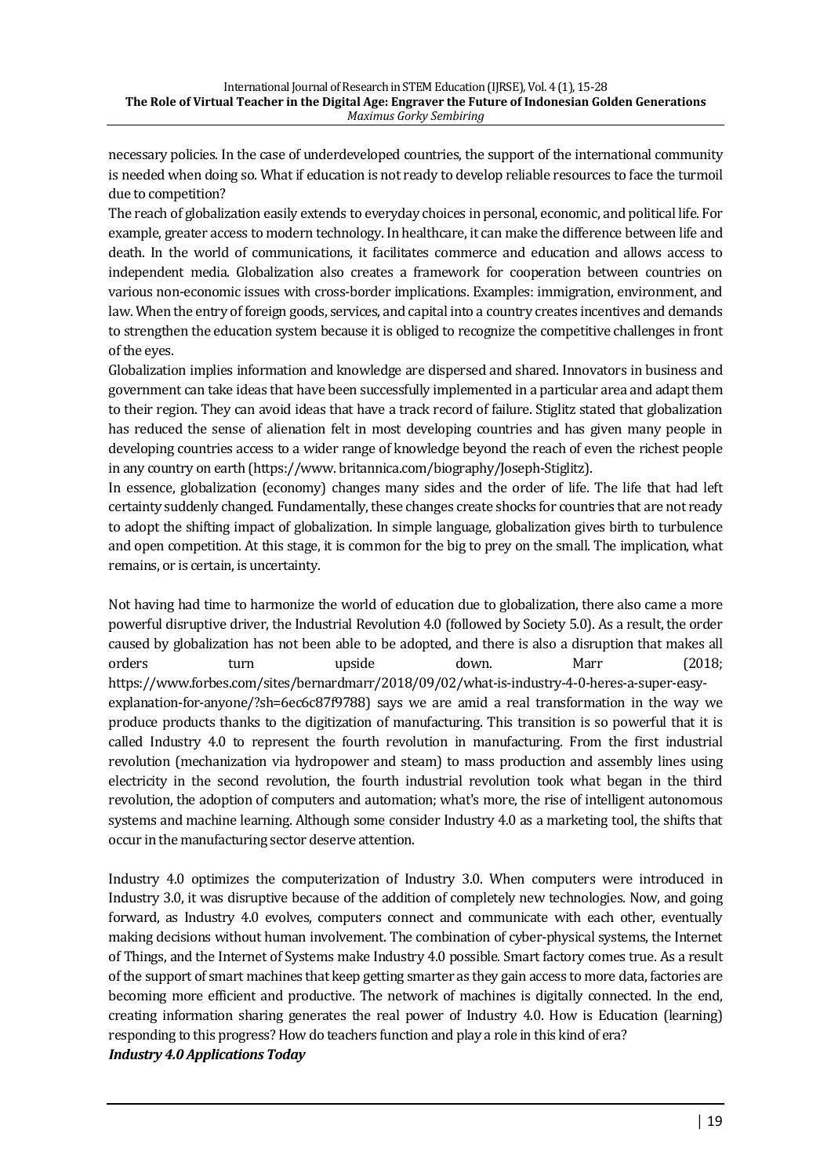necessary policies. In the case of underdeveloped countries, the support of the international community is needed when doing so. What if education is not ready to develop reliable resources to face the turmoil due to competition?

The reach of globalization easily extends to everyday choices in personal, economic, and political life. For example, greater access to modern technology. In healthcare, it can make the difference between life and death. In the world of communications, it facilitates commerce and education and allows access to independent media. Globalization also creates a framework for cooperation between countries on various non-economic issues with cross-border implications. Examples: immigration, environment, and law. When the entry of foreign goods, services, and capital into a country creates incentives and demands to strengthen the education system because it is obliged to recognize the competitive challenges in front of the eyes.

Globalization implies information and knowledge are dispersed and shared. Innovators in business and government can take ideas that have been successfully implemented in a particular area and adapt them to their region. They can avoid ideas that have a track record of failure. Stiglitz stated that globalization has reduced the sense of alienation felt in most developing countries and has given many people in developing countries access to a wider range of knowledge beyond the reach of even the richest people in any country on earth (https://www.britannica.com/biography/Joseph-Stiglitz).

In essence, globalization (economy) changes many sides and the order of life. The life that had left certainty suddenly changed. Fundamentally, these changes create shocks for countries that are not ready to adopt the shifting impact of globalization. In simple language, globalization gives birth to turbulence and open competition. At this stage, it is common for the big to prey on the small. The implication, what remains, or is certain, is uncertainty.

Not having had time to harmonize the world of education due to globalization, there also came a more powerful disruptive driver, the Industrial Revolution 4.0 (followed by Society 5.0). As a result, the order caused by globalization has not been able to be adopted, and there is also a disruption that makes all orders turn upside down. Marr (2018; https://www.forbes.com/sites/bernardmarr/2018/09/02/what-is-industry-4-0-heres-a-super-easyexplanation-for-anyone/?sh=6ec6c87f9788) says we are amid a real transformation in the way we produce products thanks to the digitization of manufacturing. This transition is so powerful that it is called Industry 4.0 to represent the fourth revolution in manufacturing. From the first industrial revolution (mechanization via hydropower and steam) to mass production and assembly lines using electricity in the second revolution, the fourth industrial revolution took what began in the third revolution, the adoption of computers and automation; what's more, the rise of intelligent autonomous systems and machine learning. Although some consider Industry 4.0 as a marketing tool, the shifts that occur in the manufacturing sector deserve attention.

Industry 4.0 optimizes the computerization of Industry 3.0. When computers were introduced in Industry 3.0, it was disruptive because of the addition of completely new technologies. Now, and going forward, as Industry 4.0 evolves, computers connect and communicate with each other, eventually making decisions without human involvement. The combination of cyber-physical systems, the Internet of Things, and the Internet of Systems make Industry 4.0 possible. Smart factory comes true. As a result of the support of smart machines that keep getting smarter as they gain access to more data, factories are becoming more efficient and productive. The network of machines is digitally connected. In the end, creating information sharing generates the real power of Industry 4.0. How is Education (learning) responding to this progress? How do teachers function and play a role in this kind of era? *Industry 4.0 Applications Today*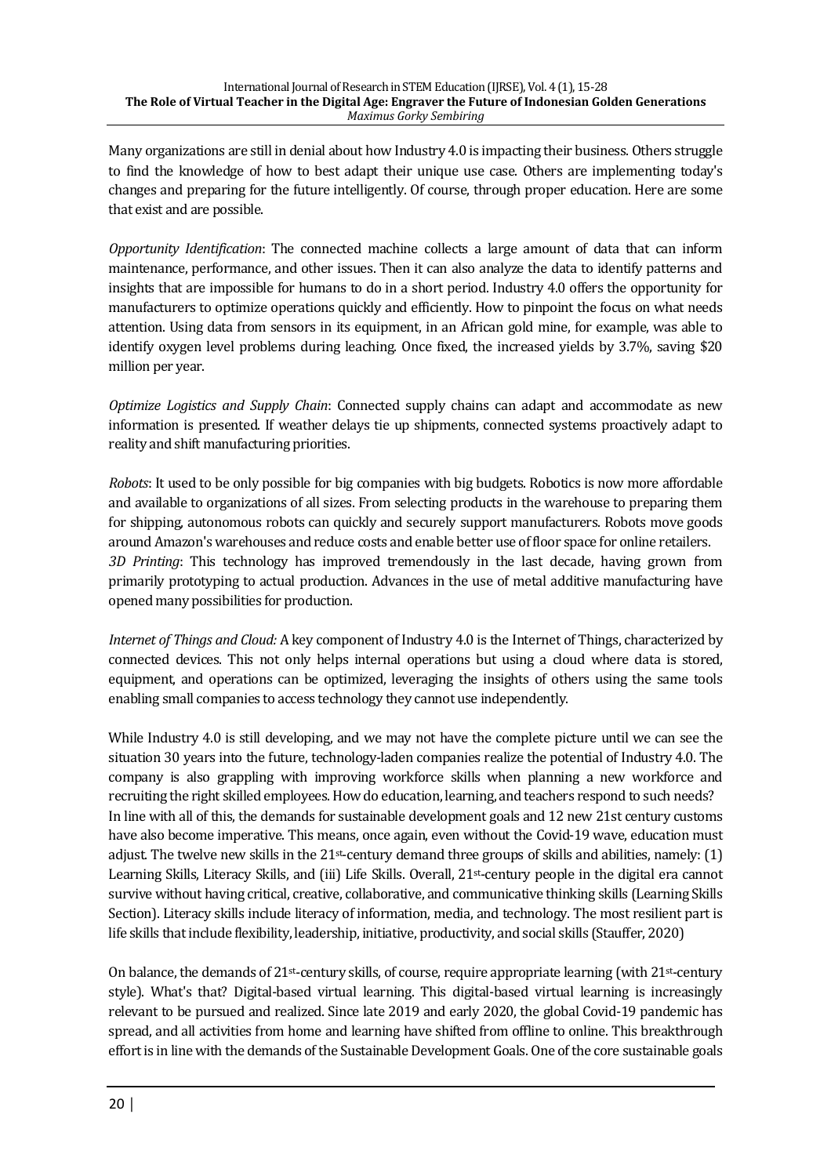Many organizations are still in denial about how Industry 4.0 is impacting their business. Others struggle to find the knowledge of how to best adapt their unique use case. Others are implementing today's changes and preparing for the future intelligently. Of course, through proper education. Here are some that exist and are possible.

*Opportunity Identification*: The connected machine collects a large amount of data that can inform maintenance, performance, and other issues. Then it can also analyze the data to identify patterns and insights that are impossible for humans to do in a short period. Industry 4.0 offers the opportunity for manufacturers to optimize operations quickly and efficiently. How to pinpoint the focus on what needs attention. Using data from sensors in its equipment, in an African gold mine, for example, was able to identify oxygen level problems during leaching. Once fixed, the increased yields by 3.7%, saving \$20 million per year.

*Optimize Logistics and Supply Chain*: Connected supply chains can adapt and accommodate as new information is presented. If weather delays tie up shipments, connected systems proactively adapt to reality and shift manufacturing priorities.

*Robots*: It used to be only possible for big companies with big budgets. Robotics is now more affordable and available to organizations of all sizes. From selecting products in the warehouse to preparing them for shipping, autonomous robots can quickly and securely support manufacturers. Robots move goods around Amazon's warehouses and reduce costs and enable better use of floor space for online retailers. *3D Printing*: This technology has improved tremendously in the last decade, having grown from primarily prototyping to actual production. Advances in the use of metal additive manufacturing have opened many possibilities for production.

*Internet of Things and Cloud:* A key component of Industry 4.0 is the Internet of Things, characterized by connected devices. This not only helps internal operations but using a cloud where data is stored, equipment, and operations can be optimized, leveraging the insights of others using the same tools enabling small companies to access technology they cannot use independently.

While Industry 4.0 is still developing, and we may not have the complete picture until we can see the situation 30 years into the future, technology-laden companies realize the potential of Industry 4.0. The company is also grappling with improving workforce skills when planning a new workforce and recruiting the right skilled employees. How do education, learning, and teachers respond to such needs? In line with all of this, the demands for sustainable development goals and 12 new 21st century customs have also become imperative. This means, once again, even without the Covid-19 wave, education must adjust. The twelve new skills in the  $21$ <sup>st-</sup>century demand three groups of skills and abilities, namely:  $(1)$ Learning Skills, Literacy Skills, and (iii) Life Skills. Overall,  $21$ <sup>st</sup>-century people in the digital era cannot survive without having critical, creative, collaborative, and communicative thinking skills (Learning Skills Section). Literacy skills include literacy of information, media, and technology. The most resilient part is life skills that include flexibility, leadership, initiative, productivity, and social skills (Stauffer, 2020)

On balance, the demands of  $21$ <sup>st-</sup>century skills, of course, require appropriate learning (with  $21$ <sup>st-</sup>century style). What's that? Digital-based virtual learning. This digital-based virtual learning is increasingly relevant to be pursued and realized. Since late 2019 and early 2020, the global Covid-19 pandemic has spread, and all activities from home and learning have shifted from offline to online. This breakthrough effort is in line with the demands of the Sustainable Development Goals. One of the core sustainable goals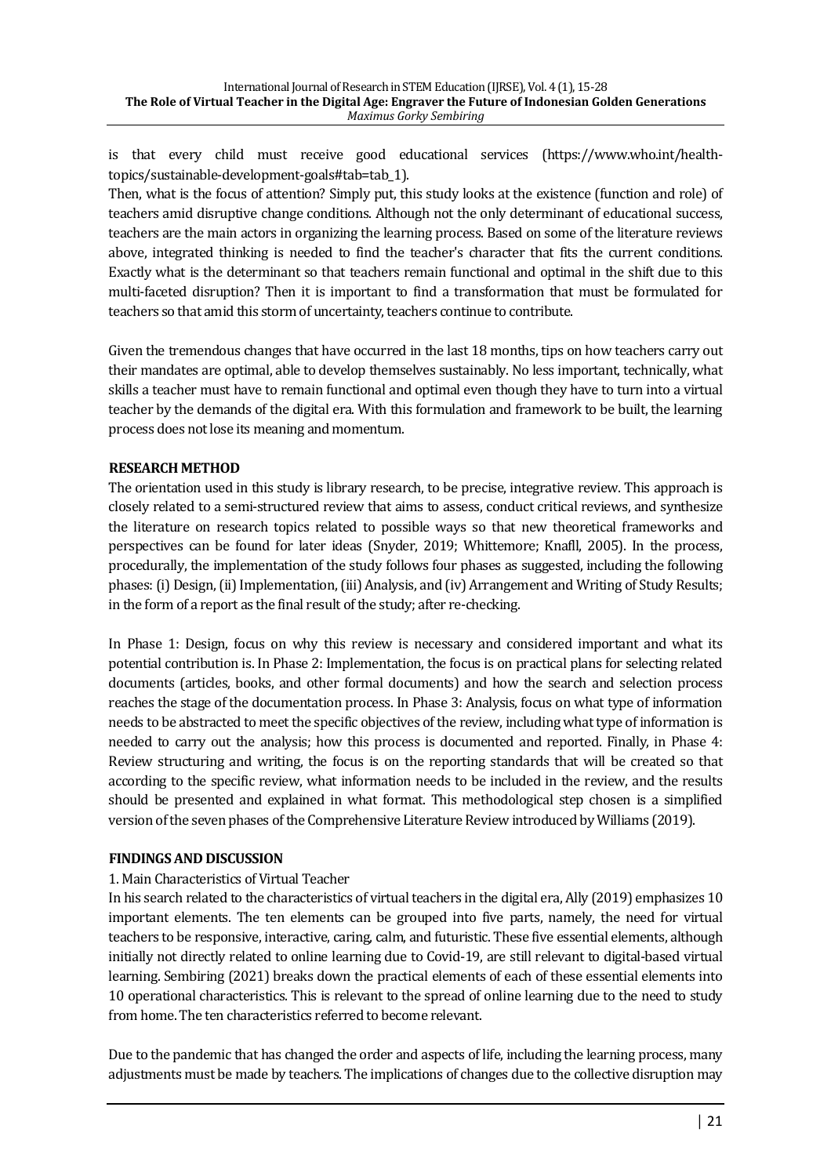is that every child must receive good educational services (https://www.who.int/healthtopics/sustainable-development-goals#tab=tab\_1).

Then, what is the focus of attention? Simply put, this study looks at the existence (function and role) of teachers amid disruptive change conditions. Although not the only determinant of educational success, teachers are the main actors in organizing the learning process. Based on some of the literature reviews above, integrated thinking is needed to find the teacher's character that fits the current conditions. Exactly what is the determinant so that teachers remain functional and optimal in the shift due to this multi-faceted disruption? Then it is important to find a transformation that must be formulated for teachers so that amid this storm of uncertainty, teachers continue to contribute.

Given the tremendous changes that have occurred in the last 18 months, tips on how teachers carry out their mandates are optimal, able to develop themselves sustainably. No less important, technically, what skills a teacher must have to remain functional and optimal even though they have to turn into a virtual teacher by the demands of the digital era. With this formulation and framework to be built, the learning process does not lose its meaning and momentum.

## **RESEARCH METHOD**

The orientation used in this study is library research, to be precise, integrative review. This approach is closely related to a semi-structured review that aims to assess, conduct critical reviews, and synthesize the literature on research topics related to possible ways so that new theoretical frameworks and perspectives can be found for later ideas (Snyder, 2019; Whittemore; Knafll, 2005). In the process, procedurally, the implementation of the study follows four phases as suggested, including the following phases: (i) Design, (ii) Implementation, (iii) Analysis, and (iv) Arrangement and Writing of Study Results; in the form of a report as the final result of the study; after re-checking.

In Phase 1: Design, focus on why this review is necessary and considered important and what its potential contribution is. In Phase 2: Implementation, the focus is on practical plans for selecting related documents (articles, books, and other formal documents) and how the search and selection process reaches the stage of the documentation process. In Phase 3: Analysis, focus on what type of information needs to be abstracted to meet the specific objectives of the review, including what type of information is needed to carry out the analysis; how this process is documented and reported. Finally, in Phase 4: Review structuring and writing, the focus is on the reporting standards that will be created so that according to the specific review, what information needs to be included in the review, and the results should be presented and explained in what format. This methodological step chosen is a simplified version of the seven phases of the Comprehensive Literature Review introduced by Williams (2019).

## **FINDINGS AND DISCUSSION**

## 1. Main Characteristics of Virtual Teacher

In his search related to the characteristics of virtual teachers in the digital era, Ally (2019) emphasizes 10 important elements. The ten elements can be grouped into five parts, namely, the need for virtual teachers to be responsive, interactive, caring, calm, and futuristic. These five essential elements, although initially not directly related to online learning due to Covid-19, are still relevant to digital-based virtual learning. Sembiring (2021) breaks down the practical elements of each of these essential elements into 10 operational characteristics. This is relevant to the spread of online learning due to the need to study from home. The ten characteristics referred to become relevant.

Due to the pandemic that has changed the order and aspects of life, including the learning process, many adjustments must be made by teachers. The implications of changes due to the collective disruption may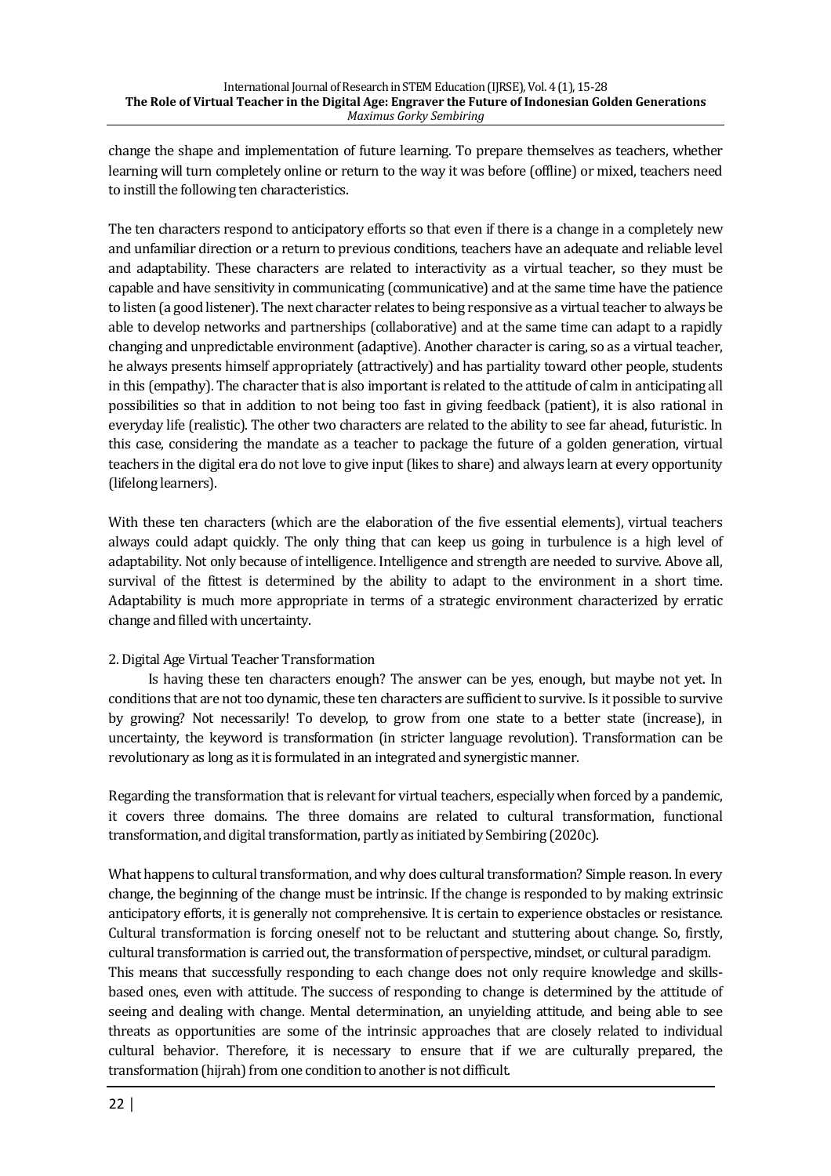change the shape and implementation of future learning. To prepare themselves as teachers, whether learning will turn completely online or return to the way it was before (offline) or mixed, teachers need to instill the following ten characteristics.

The ten characters respond to anticipatory efforts so that even if there is a change in a completely new and unfamiliar direction or a return to previous conditions, teachers have an adequate and reliable level and adaptability. These characters are related to interactivity as a virtual teacher, so they must be capable and have sensitivity in communicating (communicative) and at the same time have the patience to listen (a good listener). The next character relates to being responsive as a virtual teacher to always be able to develop networks and partnerships (collaborative) and at the same time can adapt to a rapidly changing and unpredictable environment (adaptive). Another character is caring, so as a virtual teacher, he always presents himself appropriately (attractively) and has partiality toward other people, students in this (empathy). The character that is also important is related to the attitude of calm in anticipating all possibilities so that in addition to not being too fast in giving feedback (patient), it is also rational in everyday life (realistic). The other two characters are related to the ability to see far ahead, futuristic. In this case, considering the mandate as a teacher to package the future of a golden generation, virtual teachers in the digital era do not love to give input (likes to share) and always learn at every opportunity (lifelong learners).

With these ten characters (which are the elaboration of the five essential elements), virtual teachers always could adapt quickly. The only thing that can keep us going in turbulence is a high level of adaptability. Not only because of intelligence. Intelligence and strength are needed to survive. Above all, survival of the fittest is determined by the ability to adapt to the environment in a short time. Adaptability is much more appropriate in terms of a strategic environment characterized by erratic change and filled with uncertainty.

# 2. Digital Age Virtual Teacher Transformation

Is having these ten characters enough? The answer can be yes, enough, but maybe not yet. In conditions that are not too dynamic, these ten characters are sufficient to survive. Is it possible to survive by growing? Not necessarily! To develop, to grow from one state to a better state (increase), in uncertainty, the keyword is transformation (in stricter language revolution). Transformation can be revolutionary as long as it is formulated in an integrated and synergistic manner.

Regarding the transformation that is relevant for virtual teachers, especially when forced by a pandemic, it covers three domains. The three domains are related to cultural transformation, functional transformation, and digital transformation, partly as initiated by Sembiring (2020c).

What happens to cultural transformation, and why does cultural transformation? Simple reason. In every change, the beginning of the change must be intrinsic. If the change is responded to by making extrinsic anticipatory efforts, it is generally not comprehensive. It is certain to experience obstacles or resistance. Cultural transformation is forcing oneself not to be reluctant and stuttering about change. So, firstly, cultural transformation is carried out, the transformation of perspective, mindset, or cultural paradigm. This means that successfully responding to each change does not only require knowledge and skillsbased ones, even with attitude. The success of responding to change is determined by the attitude of seeing and dealing with change. Mental determination, an unyielding attitude, and being able to see threats as opportunities are some of the intrinsic approaches that are closely related to individual cultural behavior. Therefore, it is necessary to ensure that if we are culturally prepared, the transformation (hijrah) from one condition to another is not difficult.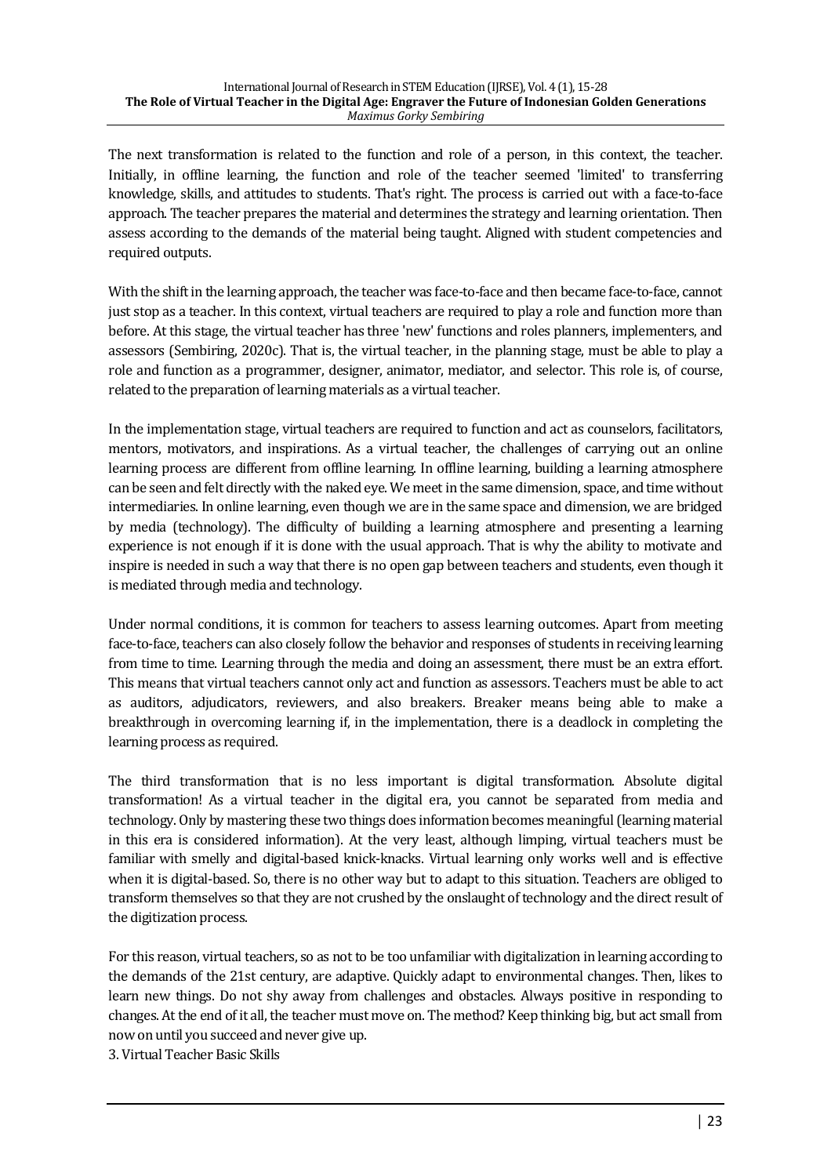The next transformation is related to the function and role of a person, in this context, the teacher. Initially, in offline learning, the function and role of the teacher seemed 'limited' to transferring knowledge, skills, and attitudes to students. That's right. The process is carried out with a face-to-face approach. The teacher prepares the material and determines the strategy and learning orientation. Then assess according to the demands of the material being taught. Aligned with student competencies and required outputs.

With the shift in the learning approach, the teacher was face-to-face and then became face-to-face, cannot just stop as a teacher. In this context, virtual teachers are required to play a role and function more than before. At this stage, the virtual teacher has three 'new' functions and roles planners, implementers, and assessors (Sembiring, 2020c). That is, the virtual teacher, in the planning stage, must be able to play a role and function as a programmer, designer, animator, mediator, and selector. This role is, of course, related to the preparation of learning materials as a virtual teacher.

In the implementation stage, virtual teachers are required to function and act as counselors, facilitators, mentors, motivators, and inspirations. As a virtual teacher, the challenges of carrying out an online learning process are different from offline learning. In offline learning, building a learning atmosphere can be seen and felt directly with the naked eye. We meet in the same dimension, space, and time without intermediaries. In online learning, even though we are in the same space and dimension, we are bridged by media (technology). The difficulty of building a learning atmosphere and presenting a learning experience is not enough if it is done with the usual approach. That is why the ability to motivate and inspire is needed in such a way that there is no open gap between teachers and students, even though it is mediated through media and technology.

Under normal conditions, it is common for teachers to assess learning outcomes. Apart from meeting face-to-face, teachers can also closely follow the behavior and responses of students in receiving learning from time to time. Learning through the media and doing an assessment, there must be an extra effort. This means that virtual teachers cannot only act and function as assessors. Teachers must be able to act as auditors, adjudicators, reviewers, and also breakers. Breaker means being able to make a breakthrough in overcoming learning if, in the implementation, there is a deadlock in completing the learning process as required.

The third transformation that is no less important is digital transformation. Absolute digital transformation! As a virtual teacher in the digital era, you cannot be separated from media and technology. Only by mastering these two things does information becomes meaningful (learning material in this era is considered information). At the very least, although limping, virtual teachers must be familiar with smelly and digital-based knick-knacks. Virtual learning only works well and is effective when it is digital-based. So, there is no other way but to adapt to this situation. Teachers are obliged to transform themselves so that they are not crushed by the onslaught of technology and the direct result of the digitization process.

For this reason, virtual teachers, so as not to be too unfamiliar with digitalization in learning according to the demands of the 21st century, are adaptive. Quickly adapt to environmental changes. Then, likes to learn new things. Do not shy away from challenges and obstacles. Always positive in responding to changes. At the end of it all, the teacher must move on. The method? Keep thinking big, but act small from now on until you succeed and never give up.

3. Virtual Teacher Basic Skills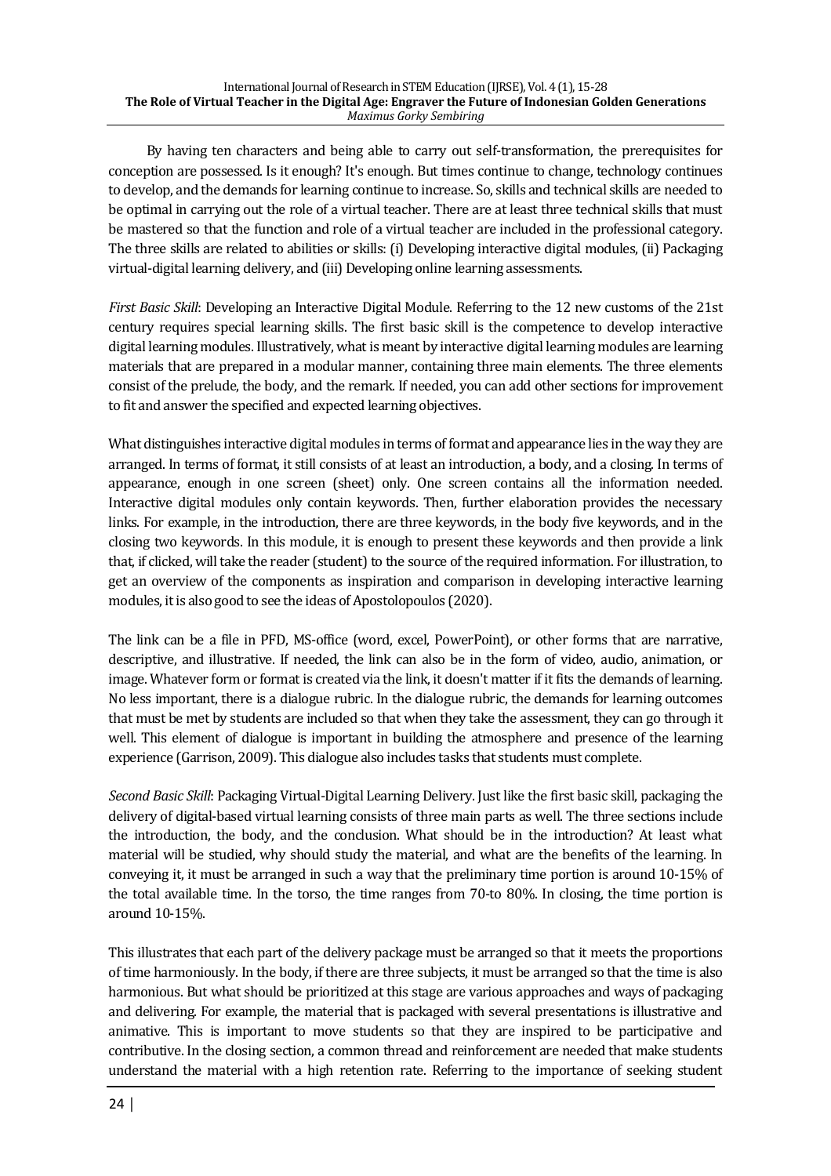By having ten characters and being able to carry out self-transformation, the prerequisites for conception are possessed. Is it enough? It's enough. But times continue to change, technology continues to develop, and the demands for learning continue to increase. So, skills and technical skills are needed to be optimal in carrying out the role of a virtual teacher. There are at least three technical skills that must be mastered so that the function and role of a virtual teacher are included in the professional category. The three skills are related to abilities or skills: (i) Developing interactive digital modules, (ii) Packaging virtual-digital learning delivery, and (iii) Developing online learning assessments.

*First Basic Skill*: Developing an Interactive Digital Module. Referring to the 12 new customs of the 21st century requires special learning skills. The first basic skill is the competence to develop interactive digital learning modules. Illustratively, what is meant by interactive digital learning modules are learning materials that are prepared in a modular manner, containing three main elements. The three elements consist of the prelude, the body, and the remark. If needed, you can add other sections for improvement to fit and answer the specified and expected learning objectives.

What distinguishes interactive digital modules in terms of format and appearance lies in the way they are arranged. In terms of format, it still consists of at least an introduction, a body, and a closing. In terms of appearance, enough in one screen (sheet) only. One screen contains all the information needed. Interactive digital modules only contain keywords. Then, further elaboration provides the necessary links. For example, in the introduction, there are three keywords, in the body five keywords, and in the closing two keywords. In this module, it is enough to present these keywords and then provide a link that, if clicked, will take the reader (student) to the source of the required information. For illustration, to get an overview of the components as inspiration and comparison in developing interactive learning modules, it is also good to see the ideas of Apostolopoulos (2020).

The link can be a file in PFD, MS-office (word, excel, PowerPoint), or other forms that are narrative, descriptive, and illustrative. If needed, the link can also be in the form of video, audio, animation, or image. Whatever form or format is created via the link, it doesn't matter if it fits the demands of learning. No less important, there is a dialogue rubric. In the dialogue rubric, the demands for learning outcomes that must be met by students are included so that when they take the assessment, they can go through it well. This element of dialogue is important in building the atmosphere and presence of the learning experience (Garrison, 2009). This dialogue also includes tasks that students must complete.

*Second Basic Skill*: Packaging Virtual-Digital Learning Delivery. Just like the first basic skill, packaging the delivery of digital-based virtual learning consists of three main parts as well. The three sections include the introduction, the body, and the conclusion. What should be in the introduction? At least what material will be studied, why should study the material, and what are the benefits of the learning. In conveying it, it must be arranged in such a way that the preliminary time portion is around 10-15% of the total available time. In the torso, the time ranges from  $70$ -to  $80\%$ . In closing, the time portion is around 10-15%.

This illustrates that each part of the delivery package must be arranged so that it meets the proportions of time harmoniously. In the body, if there are three subjects, it must be arranged so that the time is also harmonious. But what should be prioritized at this stage are various approaches and ways of packaging and delivering. For example, the material that is packaged with several presentations is illustrative and animative. This is important to move students so that they are inspired to be participative and contributive. In the closing section, a common thread and reinforcement are needed that make students understand the material with a high retention rate. Referring to the importance of seeking student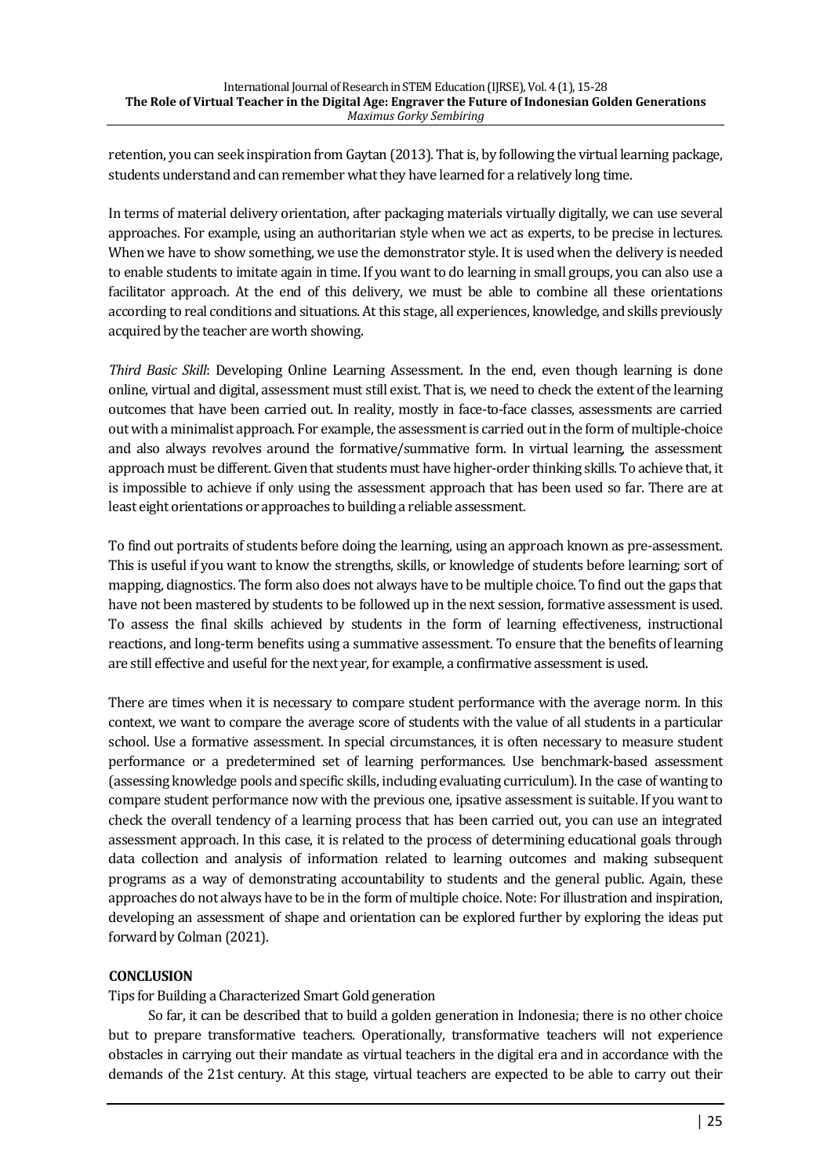retention, you can seek inspiration from Gaytan (2013). That is, by following the virtual learning package, students understand and can remember what they have learned for a relatively long time.

In terms of material delivery orientation, after packaging materials virtually digitally, we can use several approaches. For example, using an authoritarian style when we act as experts, to be precise in lectures. When we have to show something, we use the demonstrator style. It is used when the delivery is needed to enable students to imitate again in time. If you want to do learning in small groups, you can also use a facilitator approach. At the end of this delivery, we must be able to combine all these orientations according to real conditions and situations. At this stage, all experiences, knowledge, and skills previously acquired by the teacher are worth showing.

*Third Basic Skill:* Developing Online Learning Assessment. In the end, even though learning is done online, virtual and digital, assessment must still exist. That is, we need to check the extent of the learning outcomes that have been carried out. In reality, mostly in face-to-face classes, assessments are carried out with a minimalist approach. For example, the assessment is carried out in the form of multiple-choice and also always revolves around the formative/summative form. In virtual learning, the assessment approach must be different. Given that students must have higher-order thinking skills. To achieve that, it is impossible to achieve if only using the assessment approach that has been used so far. There are at least eight orientations or approaches to building a reliable assessment.

To find out portraits of students before doing the learning, using an approach known as pre-assessment. This is useful if you want to know the strengths, skills, or knowledge of students before learning; sort of mapping, diagnostics. The form also does not always have to be multiple choice. To find out the gaps that have not been mastered by students to be followed up in the next session, formative assessment is used. To assess the final skills achieved by students in the form of learning effectiveness, instructional reactions, and long-term benefits using a summative assessment. To ensure that the benefits of learning are still effective and useful for the next year, for example, a confirmative assessment is used.

There are times when it is necessary to compare student performance with the average norm. In this context, we want to compare the average score of students with the value of all students in a particular school. Use a formative assessment. In special circumstances, it is often necessary to measure student performance or a predetermined set of learning performances. Use benchmark-based assessment (assessing knowledge pools and specific skills, including evaluating curriculum). In the case of wanting to compare student performance now with the previous one, ipsative assessment is suitable. If you want to check the overall tendency of a learning process that has been carried out, you can use an integrated assessment approach. In this case, it is related to the process of determining educational goals through data collection and analysis of information related to learning outcomes and making subsequent programs as a way of demonstrating accountability to students and the general public. Again, these approaches do not always have to be in the form of multiple choice. Note: For illustration and inspiration, developing an assessment of shape and orientation can be explored further by exploring the ideas put forward by Colman (2021).

## **CONCLUSION**

Tips for Building a Characterized Smart Gold generation

So far, it can be described that to build a golden generation in Indonesia; there is no other choice but to prepare transformative teachers. Operationally, transformative teachers will not experience obstacles in carrying out their mandate as virtual teachers in the digital era and in accordance with the demands of the 21st century. At this stage, virtual teachers are expected to be able to carry out their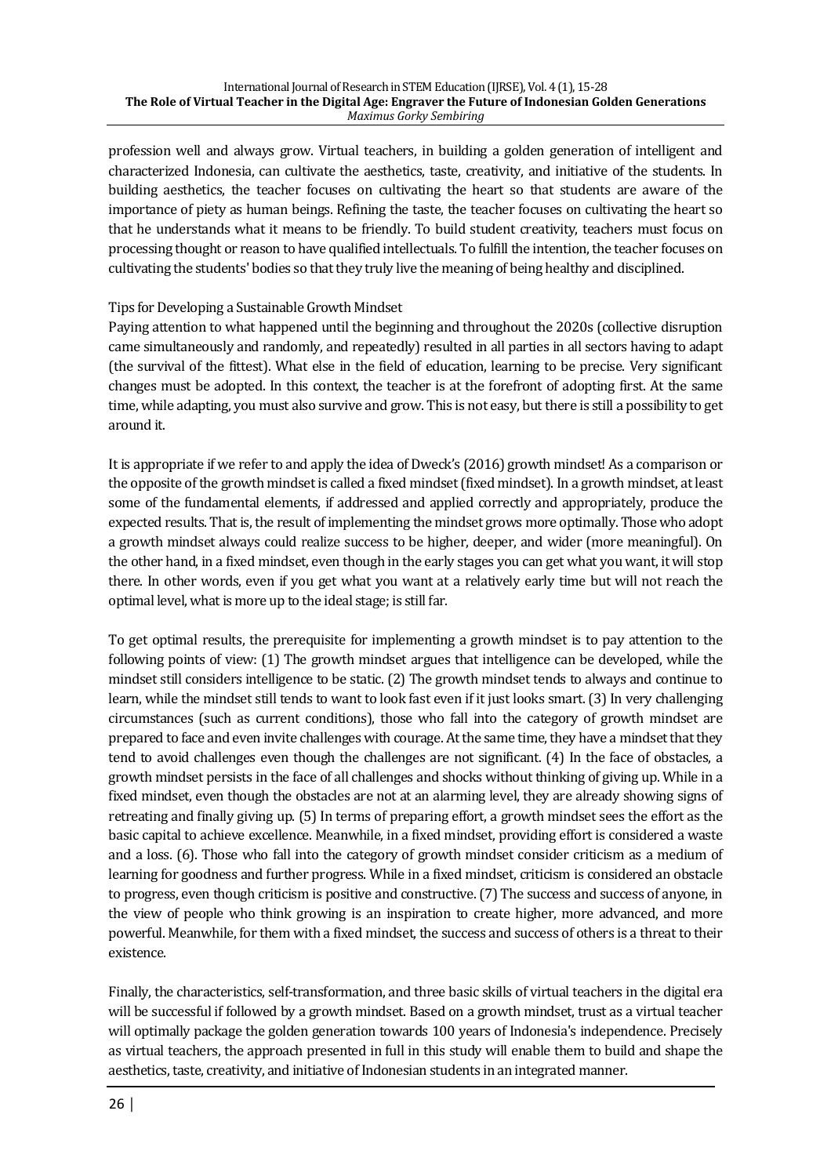profession well and always grow. Virtual teachers, in building a golden generation of intelligent and characterized Indonesia, can cultivate the aesthetics, taste, creativity, and initiative of the students. In building aesthetics, the teacher focuses on cultivating the heart so that students are aware of the importance of piety as human beings. Refining the taste, the teacher focuses on cultivating the heart so that he understands what it means to be friendly. To build student creativity, teachers must focus on processing thought or reason to have qualified intellectuals. To fulfill the intention, the teacher focuses on cultivating the students' bodies so that they truly live the meaning of being healthy and disciplined.

# Tips for Developing a Sustainable Growth Mindset

Paying attention to what happened until the beginning and throughout the 2020s (collective disruption came simultaneously and randomly, and repeatedly) resulted in all parties in all sectors having to adapt (the survival of the fittest). What else in the field of education, learning to be precise. Very significant changes must be adopted. In this context, the teacher is at the forefront of adopting first. At the same time, while adapting, you must also survive and grow. This is not easy, but there is still a possibility to get around it.

It is appropriate if we refer to and apply the idea of Dweck's (2016) growth mindset! As a comparison or the opposite of the growth mindset is called a fixed mindset (fixed mindset). In a growth mindset, at least some of the fundamental elements, if addressed and applied correctly and appropriately, produce the expected results. That is, the result of implementing the mindset grows more optimally. Those who adopt a growth mindset always could realize success to be higher, deeper, and wider (more meaningful). On the other hand, in a fixed mindset, even though in the early stages you can get what you want, it will stop there. In other words, even if you get what you want at a relatively early time but will not reach the optimal level, what is more up to the ideal stage; is still far.

To get optimal results, the prerequisite for implementing a growth mindset is to pay attention to the following points of view: (1) The growth mindset argues that intelligence can be developed, while the mindset still considers intelligence to be static.  $(2)$  The growth mindset tends to always and continue to learn, while the mindset still tends to want to look fast even if it just looks smart. (3) In very challenging circumstances (such as current conditions), those who fall into the category of growth mindset are prepared to face and even invite challenges with courage. At the same time, they have a mindset that they tend to avoid challenges even though the challenges are not significant. (4) In the face of obstacles, a growth mindset persists in the face of all challenges and shocks without thinking of giving up. While in a fixed mindset, even though the obstacles are not at an alarming level, they are already showing signs of retreating and finally giving up. (5) In terms of preparing effort, a growth mindset sees the effort as the basic capital to achieve excellence. Meanwhile, in a fixed mindset, providing effort is considered a waste and a loss. (6). Those who fall into the category of growth mindset consider criticism as a medium of learning for goodness and further progress. While in a fixed mindset, criticism is considered an obstacle to progress, even though criticism is positive and constructive. (7) The success and success of anyone, in the view of people who think growing is an inspiration to create higher, more advanced, and more powerful. Meanwhile, for them with a fixed mindset, the success and success of others is a threat to their existence.

Finally, the characteristics, self-transformation, and three basic skills of virtual teachers in the digital era will be successful if followed by a growth mindset. Based on a growth mindset, trust as a virtual teacher will optimally package the golden generation towards 100 years of Indonesia's independence. Precisely as virtual teachers, the approach presented in full in this study will enable them to build and shape the aesthetics, taste, creativity, and initiative of Indonesian students in an integrated manner.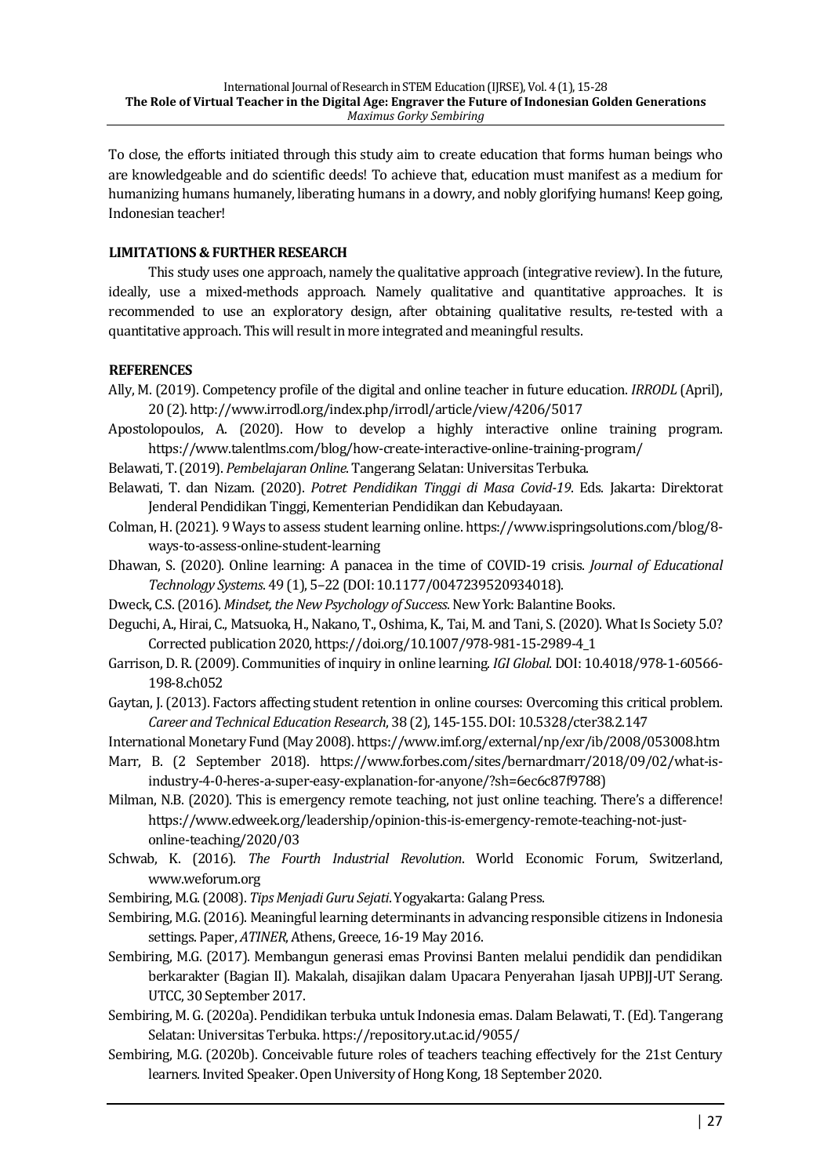To close, the efforts initiated through this study aim to create education that forms human beings who are knowledgeable and do scientific deeds! To achieve that, education must manifest as a medium for humanizing humans humanely, liberating humans in a dowry, and nobly glorifying humans! Keep going, Indonesian teacher!

## **LIMITATIONS & FURTHER RESEARCH**

This study uses one approach, namely the qualitative approach (integrative review). In the future, ideally, use a mixed-methods approach. Namely qualitative and quantitative approaches. It is recommended to use an exploratory design, after obtaining qualitative results, re-tested with a quantitative approach. This will result in more integrated and meaningful results.

#### **REFERENCES**

- Ally, M. (2019). Competency profile of the digital and online teacher in future education. *IRRODL* (April), 20 (2). http://www.irrodl.org/index.php/irrodl/article/view/4206/5017
- Apostolopoulos, A. (2020). How to develop a highly interactive online training program. https://www.talentlms.com/blog/how-create-interactive-online-training-program/

Belawati, T. (2019). *Pembelajaran Online*. Tangerang Selatan: Universitas Terbuka.

- Belawati, T. dan Nizam. (2020). *Potret Pendidikan Tinggi di Masa Covid-19*. Eds. Jakarta: Direktorat Jenderal Pendidikan Tinggi, Kementerian Pendidikan dan Kebudayaan.
- Colman, H. (2021). 9 Ways to assess student learning online. https://www.ispringsolutions.com/blog/8ways-to-assess-online-student-learning
- Dhawan, S. (2020). Online learning: A panacea in the time of COVID-19 crisis. *Journal of Educational Technology Systems*. 49 (1), 5–22 (DOI: 10.1177/0047239520934018).
- Dweck, C.S. (2016). *Mindset, the New Psychology of Success*. New York: Balantine Books.
- Deguchi, A., Hirai, C., Matsuoka, H., Nakano, T., Oshima, K., Tai, M. and Tani, S. (2020). What Is Society 5.0? Corrected publication 2020, https://doi.org/10.1007/978-981-15-2989-4\_1
- Garrison, D. R. (2009). Communities of inquiry in online learning. *IGI Global*. DOI: 10.4018/978-1-60566-198-8.ch052
- Gaytan, J. (2013). Factors affecting student retention in online courses: Overcoming this critical problem. *Career and Technical Education Research*, 38 (2), 145-155. DOI: 10.5328/cter38.2.147

International Monetary Fund (May 2008). https://www.imf.org/external/np/exr/ib/2008/053008.htm

- Marr, B. (2 September 2018). https://www.forbes.com/sites/bernardmarr/2018/09/02/what-isindustry-4-0-heres-a-super-easy-explanation-for-anyone/?sh=6ec6c87f9788)
- Milman, N.B. (2020). This is emergency remote teaching, not just online teaching. There's a difference! https://www.edweek.org/leadership/opinion-this-is-emergency-remote-teaching-not-justonline-teaching/2020/03
- Schwab, K. (2016). *The Fourth Industrial Revolution*. World Economic Forum, Switzerland, www.weforum.org
- Sembiring, M.G. (2008). *Tips Menjadi Guru Sejati*. Yogyakarta: Galang Press.
- Sembiring, M.G. (2016). Meaningful learning determinants in advancing responsible citizens in Indonesia settings. Paper, *ATINER*, Athens, Greece, 16-19 May 2016.
- Sembiring, M.G. (2017). Membangun generasi emas Provinsi Banten melalui pendidik dan pendidikan berkarakter (Bagian II). Makalah, disajikan dalam Upacara Penyerahan Ijasah UPBIJ-UT Serang. UTCC, 30 September 2017.
- Sembiring, M. G. (2020a). Pendidikan terbuka untuk Indonesia emas. Dalam Belawati, T. (Ed). Tangerang Selatan: Universitas Terbuka. https://repository.ut.ac.id/9055/
- Sembiring, M.G. (2020b). Conceivable future roles of teachers teaching effectively for the 21st Century learners. Invited Speaker. Open University of Hong Kong, 18 September 2020.